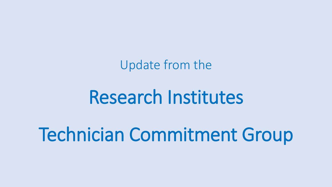Update from the

# Research Institutes

# Technician Commitment Group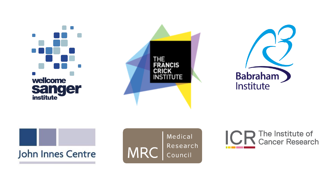









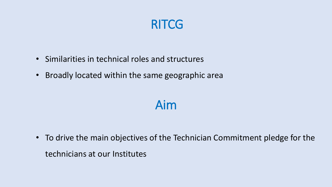### RITCG

- Similarities in technical roles and structures
- Broadly located within the same geographic area

### Aim

• To drive the main objectives of the Technician Commitment pledge for the technicians at our Institutes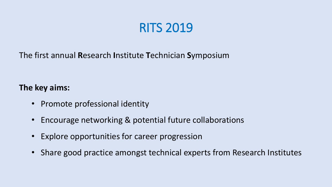# RITS 2019

The first annual **R**esearch **I**nstitute **T**echnician **S**ymposium

### **The key aims:**

- Promote professional identity
- Encourage networking & potential future collaborations
- Explore opportunities for career progression
- Share good practice amongst technical experts from Research Institutes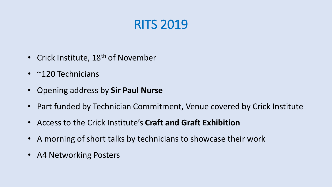# RITS 2019

- Crick Institute, 18<sup>th</sup> of November
- ~120 Technicians
- Opening address by **Sir Paul Nurse**
- Part funded by Technician Commitment, Venue covered by Crick Institute
- Access to the Crick Institute's **Craft and Graft Exhibition**
- A morning of short talks by technicians to showcase their work
- A4 Networking Posters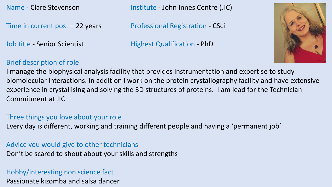Time in current post - 22 years Professional Registration - CSci

Name - Clare Stevenson **Institute - John Innes Centre (JIC)** 

Job title - Senior Scientist **Highest Qualification - PhD** 



### Brief description of role

I manage the biophysical analysis facility that provides instrumentation and expertise to study biomolecular interactions. In addition I work on the protein crystallography facility and have extensive experience in crystallising and solving the 3D structures of proteins. I am lead for the Technician Commitment at JIC

#### Three things you love about your role

Every day is different, working and training different people and having a 'permanent job'

#### Advice you would give to other technicians

Don't be scared to shout about your skills and strengths

### Hobby/interesting non science fact

Passionate kizomba and salsa dancer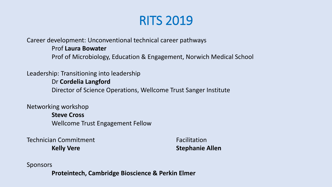# RITS 2019

Career development: Unconventional technical career pathways Prof **Laura Bowater** Prof of Microbiology, Education & Engagement, Norwich Medical School

Leadership: Transitioning into leadership

Dr **Cordelia Langford** Director of Science Operations, Wellcome Trust Sanger Institute

Networking workshop **Steve Cross** Wellcome Trust Engagement Fellow

**Technician Commitment** Technician Commitment **Kelly Vere Stephanie Allen** 

Sponsors

**Proteintech, Cambridge Bioscience & Perkin Elmer**